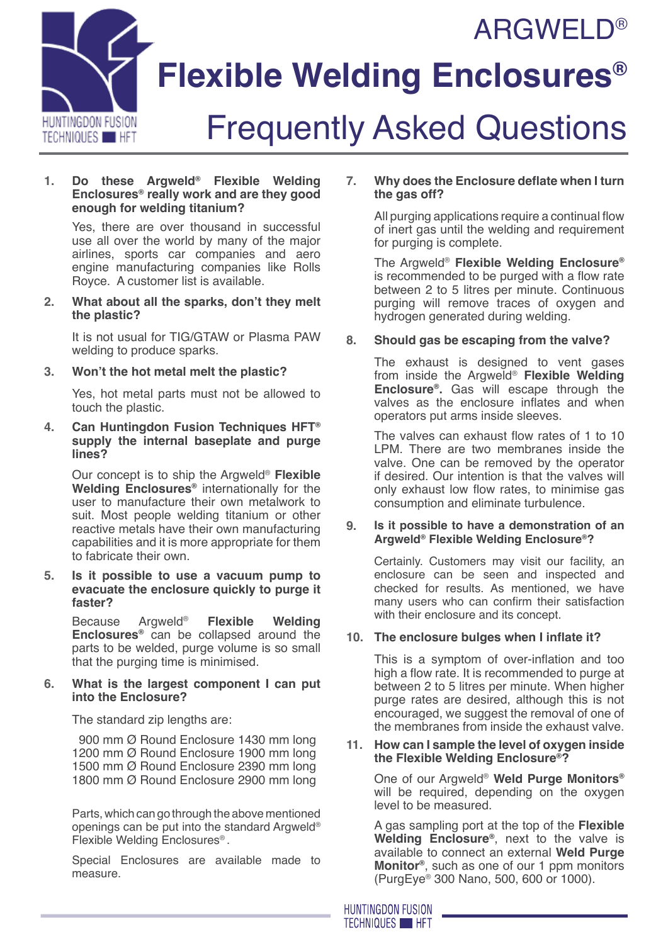



# **Flexible Welding Enclosures®**

# Frequently Asked Questions

#### **1. Do these Argweld® Flexible Welding Enclosures® really work and are they good enough for welding titanium?**

Yes, there are over thousand in successful use all over the world by many of the major airlines, sports car companies and aero engine manufacturing companies like Rolls Royce. A customer list is available.

**2. What about all the sparks, don't they melt the plastic?**

It is not usual for TIG/GTAW or Plasma PAW welding to produce sparks.

**3. Won't the hot metal melt the plastic?**

Yes, hot metal parts must not be allowed to touch the plastic.

**4. Can Huntingdon Fusion Techniques HFT® supply the internal baseplate and purge lines?**

Our concept is to ship the Argweld® **Flexible Welding Enclosures®** internationally for the user to manufacture their own metalwork to suit. Most people welding titanium or other reactive metals have their own manufacturing capabilities and it is more appropriate for them to fabricate their own.

**5. Is it possible to use a vacuum pump to evacuate the enclosure quickly to purge it faster?**

Because Argweld® **Flexible Welding Enclosures®** can be collapsed around the parts to be welded, purge volume is so small that the purging time is minimised.

## **6. What is the largest component I can put into the Enclosure?**

The standard zip lengths are:

 900 mm Ø Round Enclosure 1430 mm long 1200 mm Ø Round Enclosure 1900 mm long 1500 mm Ø Round Enclosure 2390 mm long 1800 mm Ø Round Enclosure 2900 mm long

Parts, which can go through the above mentioned openings can be put into the standard Argweld® Flexible Welding Enclosures® .

Special Enclosures are available made to measure.

## **7. Why does the Enclosure deflate when I turn the gas off?**

All purging applications require a continual flow of inert gas until the welding and requirement for purging is complete.

The Argweld® **Flexible Welding Enclosure®** is recommended to be purged with a flow rate between 2 to 5 litres per minute. Continuous purging will remove traces of oxygen and hydrogen generated during welding.

# **8. Should gas be escaping from the valve?**

The exhaust is designed to vent gases from inside the Argweld® **Flexible Welding Enclosure®.** Gas will escape through the valves as the enclosure inflates and when operators put arms inside sleeves.

The valves can exhaust flow rates of 1 to 10 LPM. There are two membranes inside the valve. One can be removed by the operator if desired. Our intention is that the valves will only exhaust low flow rates, to minimise gas consumption and eliminate turbulence.

## **9. Is it possible to have a demonstration of an Argweld® Flexible Welding Enclosure®?**

Certainly. Customers may visit our facility, an enclosure can be seen and inspected and checked for results. As mentioned, we have many users who can confirm their satisfaction with their enclosure and its concept.

## **10. The enclosure bulges when I inflate it?**

This is a symptom of over-inflation and too high a flow rate. It is recommended to purge at between 2 to 5 litres per minute. When higher purge rates are desired, although this is not encouraged, we suggest the removal of one of the membranes from inside the exhaust valve.

#### **11. How can I sample the level of oxygen inside the Flexible Welding Enclosure®?**

One of our Argweld® **Weld Purge Monitors®** will be required, depending on the oxygen level to be measured.

A gas sampling port at the top of the **Flexible Welding Enclosure®**, next to the valve is available to connect an external **Weld Purge Monitor®**, such as one of our 1 ppm monitors (PurgEye® 300 Nano, 500, 600 or 1000).

**HUNTINGDON FUSION TECHNIQUES HET**